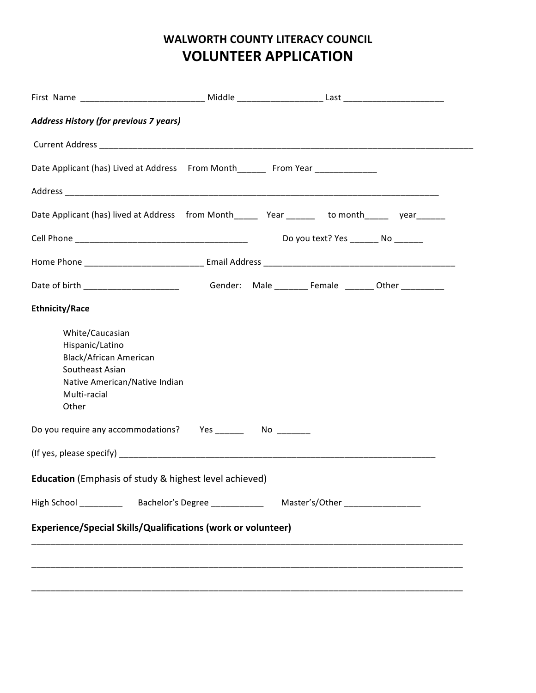# **WALWORTH COUNTY LITERACY COUNCIL VOLUNTEER APPLICATION**

| <b>Address History (for previous 7 years)</b>                                                                                             |  |                                         |  |
|-------------------------------------------------------------------------------------------------------------------------------------------|--|-----------------------------------------|--|
|                                                                                                                                           |  |                                         |  |
| Date Applicant (has) Lived at Address From Month_______ From Year _____________                                                           |  |                                         |  |
|                                                                                                                                           |  |                                         |  |
| Date Applicant (has) lived at Address from Month_______ Year ________ to month______ year_______                                          |  |                                         |  |
|                                                                                                                                           |  | Do you text? Yes __________ No ________ |  |
|                                                                                                                                           |  |                                         |  |
|                                                                                                                                           |  |                                         |  |
| <b>Ethnicity/Race</b>                                                                                                                     |  |                                         |  |
| White/Caucasian<br>Hispanic/Latino<br>Black/African American<br>Southeast Asian<br>Native American/Native Indian<br>Multi-racial<br>Other |  |                                         |  |
| Do you require any accommodations? Yes __________ No ________                                                                             |  |                                         |  |
|                                                                                                                                           |  |                                         |  |
| <b>Education</b> (Emphasis of study & highest level achieved)                                                                             |  |                                         |  |
|                                                                                                                                           |  |                                         |  |
| Experience/Special Skills/Qualifications (work or volunteer)                                                                              |  |                                         |  |
|                                                                                                                                           |  |                                         |  |
|                                                                                                                                           |  |                                         |  |
|                                                                                                                                           |  |                                         |  |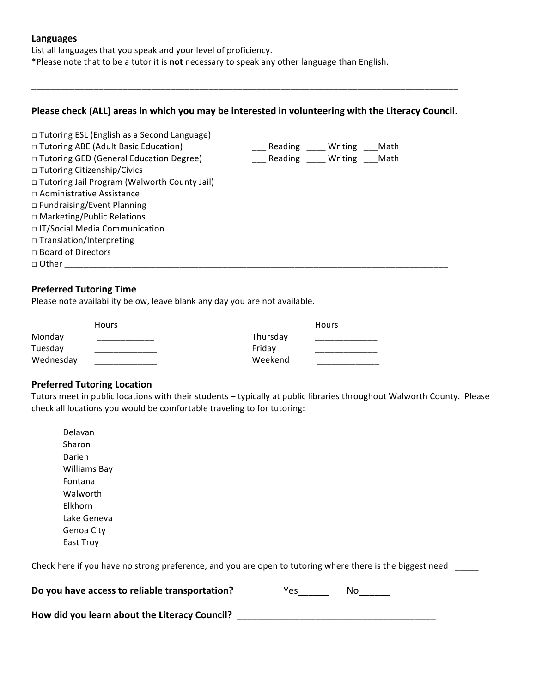#### **Languages**

List all languages that you speak and your level of proficiency.

\*Please note that to be a tutor it is not necessary to speak any other language than English.

#### Please check (ALL) areas in which you may be interested in volunteering with the Literacy Council.

\_\_\_\_\_\_\_\_\_\_\_\_\_\_\_\_\_\_\_\_\_\_\_\_\_\_\_\_\_\_\_\_\_\_\_\_\_\_\_\_\_\_\_\_\_\_\_\_\_\_\_\_\_\_\_\_\_\_\_\_\_\_\_\_\_\_\_\_\_\_\_\_\_\_\_\_\_\_\_\_\_\_\_\_\_\_\_\_\_

| □ Tutoring ESL (English as a Second Language)       |         |         |      |  |
|-----------------------------------------------------|---------|---------|------|--|
| □ Tutoring ABE (Adult Basic Education)              | Reading | Writing | Math |  |
| □ Tutoring GED (General Education Degree)           | Reading | Writing | Math |  |
| □ Tutoring Citizenship/Civics                       |         |         |      |  |
| $\Box$ Tutoring Jail Program (Walworth County Jail) |         |         |      |  |
| $\Box$ Administrative Assistance                    |         |         |      |  |
| $\Box$ Fundraising/Event Planning                   |         |         |      |  |
| $\Box$ Marketing/Public Relations                   |         |         |      |  |
| □ IT/Social Media Communication                     |         |         |      |  |
| $\Box$ Translation/Interpreting                     |         |         |      |  |
| $\Box$ Board of Directors                           |         |         |      |  |
| $\Box$ Other                                        |         |         |      |  |

#### **Preferred Tutoring Time**

Please note availability below, leave blank any day you are not available.

|           | <b>Hours</b> |          | Hours |
|-----------|--------------|----------|-------|
| Monday    |              | Thursday |       |
| Tuesday   |              | Fridav   |       |
| Wednesday |              | Weekend  |       |

### **Preferred Tutoring Location**

Tutors meet in public locations with their students - typically at public libraries throughout Walworth County. Please check all locations you would be comfortable traveling to for tutoring:

 Delavan Sharon Darien Williams Bay Fontana Walworth Elkhorn Lake Geneva Genoa City East Troy

Check here if you have no strong preference, and you are open to tutoring where there is the biggest need \_\_\_\_\_

| Do you have access to reliable transportation? |
|------------------------------------------------|
|                                                |

How did you learn about the Literacy Council? \_\_\_\_\_\_\_\_\_\_\_\_\_\_\_\_\_\_\_\_\_\_\_\_\_\_\_\_\_\_\_\_\_\_